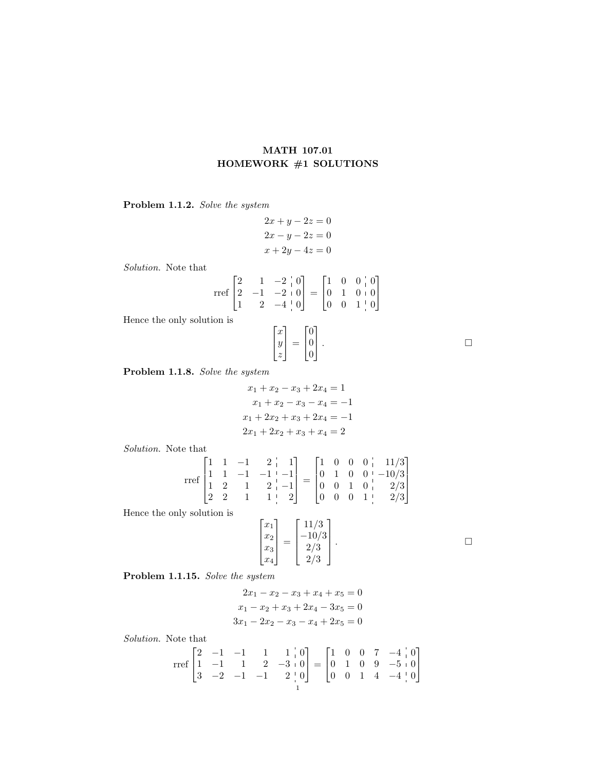## MATH 107.01 HOMEWORK #1 SOLUTIONS

Problem 1.1.2. Solve the system

$$
2x + y - 2z = 0
$$

$$
2x - y - 2z = 0
$$

$$
x + 2y - 4z = 0
$$

Solution. Note that

$$
\text{rref}\begin{bmatrix} 2 & 1 & -2 & 0 \\ 2 & -1 & -2 & 0 \\ 1 & 2 & -4 & 0 \end{bmatrix} = \begin{bmatrix} 1 & 0 & 0 & 0 \\ 0 & 1 & 0 & 0 \\ 0 & 0 & 1 & 0 \end{bmatrix}
$$

 $\lceil$  $\overline{1}$ 

Hence the only solution is

$$
\begin{bmatrix} x \\ y \\ z \end{bmatrix} = \begin{bmatrix} 0 \\ 0 \\ 0 \end{bmatrix} . \qquad \qquad \Box
$$

Problem 1.1.8. Solve the system

$$
x_1 + x_2 - x_3 + 2x_4 = 1
$$
  
\n
$$
x_1 + x_2 - x_3 - x_4 = -1
$$
  
\n
$$
x_1 + 2x_2 + x_3 + 2x_4 = -1
$$
  
\n
$$
2x_1 + 2x_2 + x_3 + x_4 = 2
$$

Solution. Note that

$$
\text{rref}\begin{bmatrix} 1 & 1 & -1 & 2 & | & 1 \\ 1 & 1 & -1 & -1 & | & -1 \\ 1 & 2 & 1 & 2 & | & -1 \\ 2 & 2 & 1 & 1 & | & 2 \end{bmatrix} = \begin{bmatrix} 1 & 0 & 0 & 0 & | & 11/3 \\ 0 & 1 & 0 & 0 & | & -10/3 \\ 0 & 0 & 1 & 0 & | & 2/3 \\ 0 & 0 & 0 & 1 & | & 2/3 \end{bmatrix}
$$

Hence the only solution is

$$
\begin{bmatrix} x_1 \\ x_2 \\ x_3 \\ x_4 \end{bmatrix} = \begin{bmatrix} 11/3 \\ -10/3 \\ 2/3 \\ 2/3 \end{bmatrix}
$$

Problem 1.1.15. Solve the system

$$
2x_1 - x_2 - x_3 + x_4 + x_5 = 0
$$
  

$$
x_1 - x_2 + x_3 + 2x_4 - 3x_5 = 0
$$
  

$$
3x_1 - 2x_2 - x_3 - x_4 + 2x_5 = 0
$$

Solution. Note that

$$
\text{rref}\begin{bmatrix} 2 & -1 & -1 & 1 & 1 & 0 \\ 1 & -1 & 1 & 2 & -3 & 0 \\ 3 & -2 & -1 & -1 & 2 & 0 \end{bmatrix} = \begin{bmatrix} 1 & 0 & 0 & 7 & -4 & 0 \\ 0 & 1 & 0 & 9 & -5 & 0 \\ 0 & 0 & 1 & 4 & -4 & 0 \end{bmatrix}
$$

. — Первый процесс в серверності процесс в серверності процесс в серверності процесс в серверності процесс в с<br>Первої в серверності процесс в серверності процесс в серверності процесс в серверності процесс в серверності п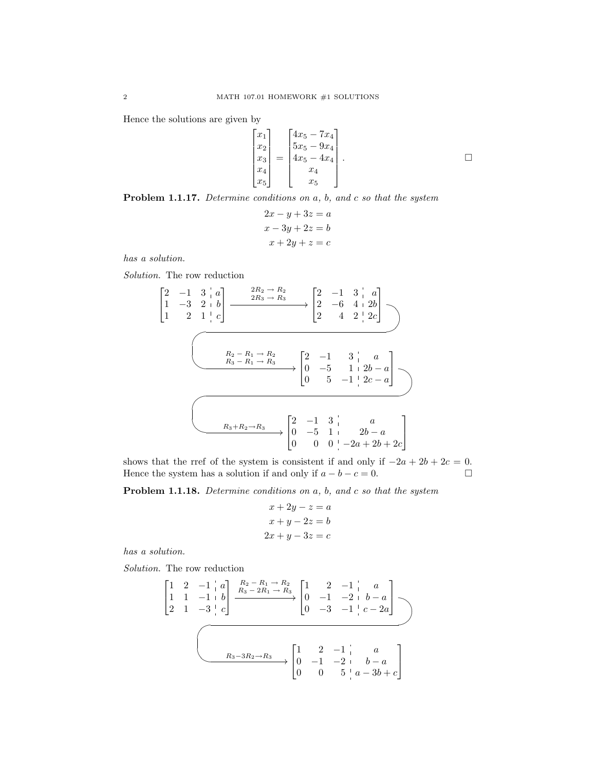Hence the solutions are given by

$$
\begin{bmatrix} x_1 \\ x_2 \\ x_3 \\ x_4 \\ x_5 \end{bmatrix} = \begin{bmatrix} 4x_5 - 7x_4 \\ 5x_5 - 9x_4 \\ 4x_5 - 4x_4 \\ x_4 \\ x_5 \end{bmatrix} . \square
$$

Problem 1.1.17. Determine conditions on a, b, and c so that the system

$$
2x - y + 3z = a
$$

$$
x - 3y + 2z = b
$$

$$
x + 2y + z = c
$$

has a solution.

Solution. The row reduction

 2 −1 3 a 1 −3 2 b 1 2 1 c 2R<sup>2</sup> → R<sup>2</sup> 2R<sup>3</sup> → R<sup>3</sup> / 2 −1 3 a 2 −6 4 2b 2 4 2 2c UT RS WV PQ <sup>R</sup><sup>2</sup> <sup>−</sup> <sup>R</sup><sup>1</sup> <sup>→</sup> <sup>R</sup><sup>2</sup> R<sup>3</sup> − R<sup>1</sup> → R<sup>3</sup> / 2 −1 3 a 0 −5 1 2b − a 0 5 −1 2c − a UT RS WV PQ <sup>R</sup>3+R2→R<sup>3</sup> 2 −1 3 a 0 −5 1 2b − a 0 0 0 −2a + 2b + 2c 

shows that the rref of the system is consistent if and only if  $-2a + 2b + 2c = 0$ . Hence the system has a solution if and only if  $a - b - c = 0$ .

Problem 1.1.18. Determine conditions on a, b, and c so that the system

$$
x + 2y - z = a
$$

$$
x + y - 2z = b
$$

$$
2x + y - 3z = c
$$

has a solution.

Solution. The row reduction

$$
\begin{bmatrix} 1 & 2 & -1 & a \\ 1 & 1 & -1 & b \\ 2 & 1 & -3 & c \end{bmatrix} \xrightarrow{R_2 - R_1 \to R_2} \begin{bmatrix} 1 & 2 & -1 & a \\ 0 & -1 & -2 & b - a \\ 0 & -3 & -1 & c - 2a \end{bmatrix}
$$
  

$$
\xrightarrow{R_3 - 3R_2 \to R_3} \begin{bmatrix} 1 & 2 & -1 & a \\ 0 & -1 & -2 & b - a \\ 0 & 0 & 5 & a - 3b + c \end{bmatrix}
$$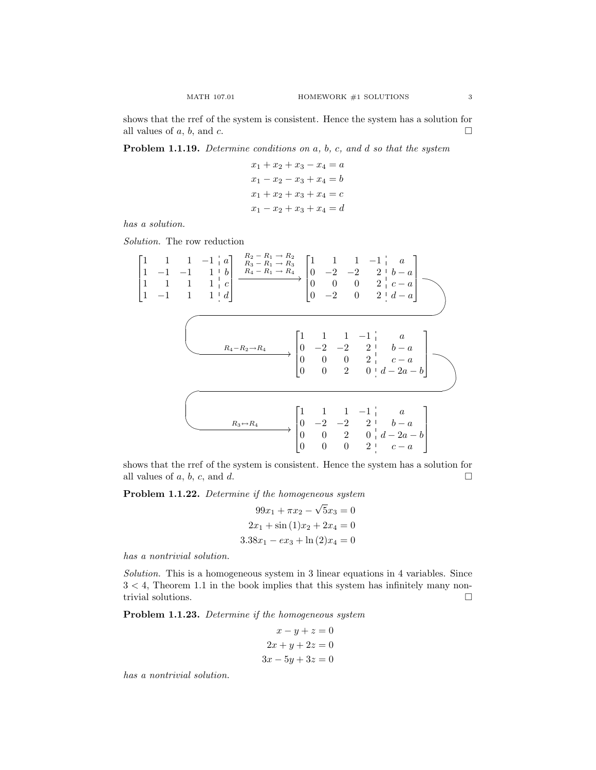shows that the rref of the system is consistent. Hence the system has a solution for all values of a, b, and c.

Problem 1.1.19. Determine conditions on a, b, c, and d so that the system

$$
x_1 + x_2 + x_3 - x_4 = a
$$
  

$$
x_1 - x_2 - x_3 + x_4 = b
$$
  

$$
x_1 + x_2 + x_3 + x_4 = c
$$
  

$$
x_1 - x_2 + x_3 + x_4 = d
$$

has a solution.

 $\lceil$  $\overline{1}$  $\overline{1}$  $\overline{1}$ 

Solution. The row reduction

1 1 1 −1 a 1 −1 −1 1 b 1 1 1 1 c 1 −1 1 1 d R<sup>2</sup> − R<sup>1</sup> → R<sup>2</sup> R<sup>3</sup> − R<sup>1</sup> → R<sup>3</sup> R<sup>4</sup> − R<sup>1</sup> → R<sup>4</sup> / 1 1 1 −1 a 0 −2 −2 2 b − a 0 0 0 2 c − a 0 −2 0 2 d − a mlRS PQ <sup>R</sup>4−R2→R<sup>4</sup> / 1 1 1 −1 a 0 −2 −2 2 b − a 0 0 0 2 c − a 0 0 2 0 d − 2a − b mlRS WV PQ <sup>R</sup>3↔R<sup>4</sup> / 1 1 1 −1 a 0 −2 −2 2 b − a 0 0 2 0 d − 2a − b 0 0 0 2 c − a 

shows that the rref of the system is consistent. Hence the system has a solution for all values of  $a, b, c,$  and  $d$ .

**Problem 1.1.22.** Determine if the homogeneous system

$$
99x_1 + \pi x_2 - \sqrt{5}x_3 = 0
$$
  

$$
2x_1 + \sin(1)x_2 + 2x_4 = 0
$$
  

$$
3.38x_1 - ex_3 + \ln(2)x_4 = 0
$$

has a nontrivial solution.

Solution. This is a homogeneous system in 3 linear equations in 4 variables. Since  $3 < 4$ , Theorem 1.1 in the book implies that this system has infinitely many nontrivial solutions.  $\hfill \square$ 

Problem 1.1.23. Determine if the homogeneous system

$$
x - y + z = 0
$$

$$
2x + y + 2z = 0
$$

$$
3x - 5y + 3z = 0
$$

has a nontrivial solution.